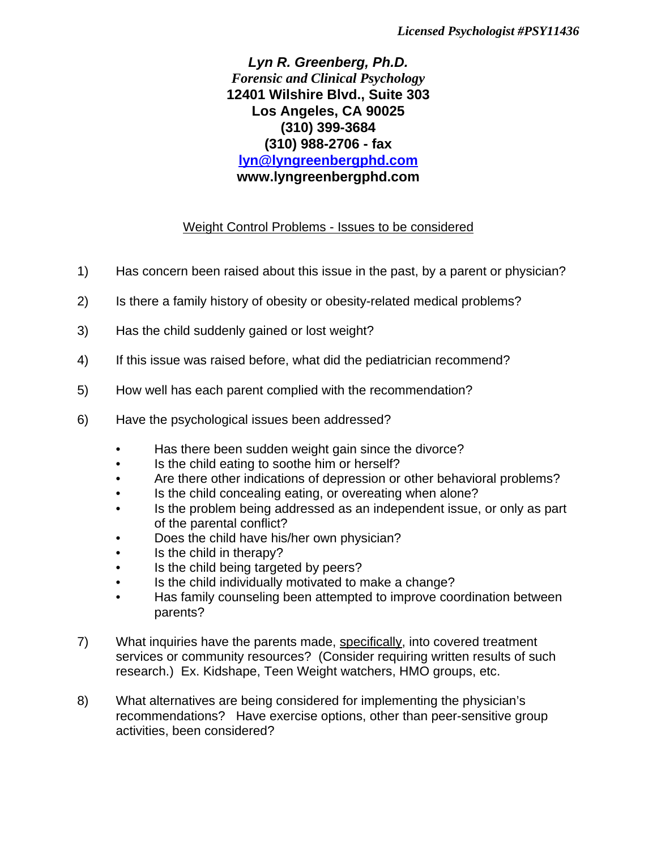*Lyn R. Greenberg, Ph.D. Forensic and Clinical Psychology* **12401 Wilshire Blvd., Suite 303 Los Angeles, CA 90025 (310) 399-3684 (310) 988-2706 - fax lyn@lyngreenbergphd.com www.lyngreenbergphd.com**

## Weight Control Problems - Issues to be considered

- 1) Has concern been raised about this issue in the past, by a parent or physician?
- 2) Is there a family history of obesity or obesity-related medical problems?
- 3) Has the child suddenly gained or lost weight?
- 4) If this issue was raised before, what did the pediatrician recommend?
- 5) How well has each parent complied with the recommendation?
- 6) Have the psychological issues been addressed?
	- Has there been sudden weight gain since the divorce?
	- Is the child eating to soothe him or herself?
	- Are there other indications of depression or other behavioral problems?
	- Is the child concealing eating, or overeating when alone?
	- Is the problem being addressed as an independent issue, or only as part of the parental conflict?
	- Does the child have his/her own physician?
	- Is the child in therapy?
	- Is the child being targeted by peers?
	- Is the child individually motivated to make a change?
	- Has family counseling been attempted to improve coordination between parents?
- 7) What inquiries have the parents made, specifically, into covered treatment services or community resources? (Consider requiring written results of such research.) Ex. Kidshape, Teen Weight watchers, HMO groups, etc.
- 8) What alternatives are being considered for implementing the physician's recommendations? Have exercise options, other than peer-sensitive group activities, been considered?